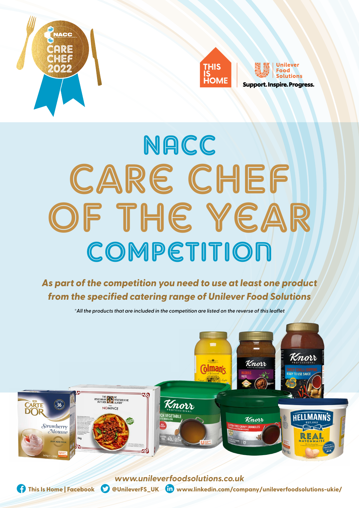





**Support. Inspire. Progress.** 

# **NACC** Care CHEF of the Year Competition

# *As part of the competition you need to use at least one product from the specified catering range of Unilever Food Solutions*

*\*All the products that are included in the competition are listed on the reverse of this leaflet*



**This Is Home | Facebook CO** @UnileverFS\_UK **lin** www.linkedin.com/company/unileverfoodsolutions-ukie/